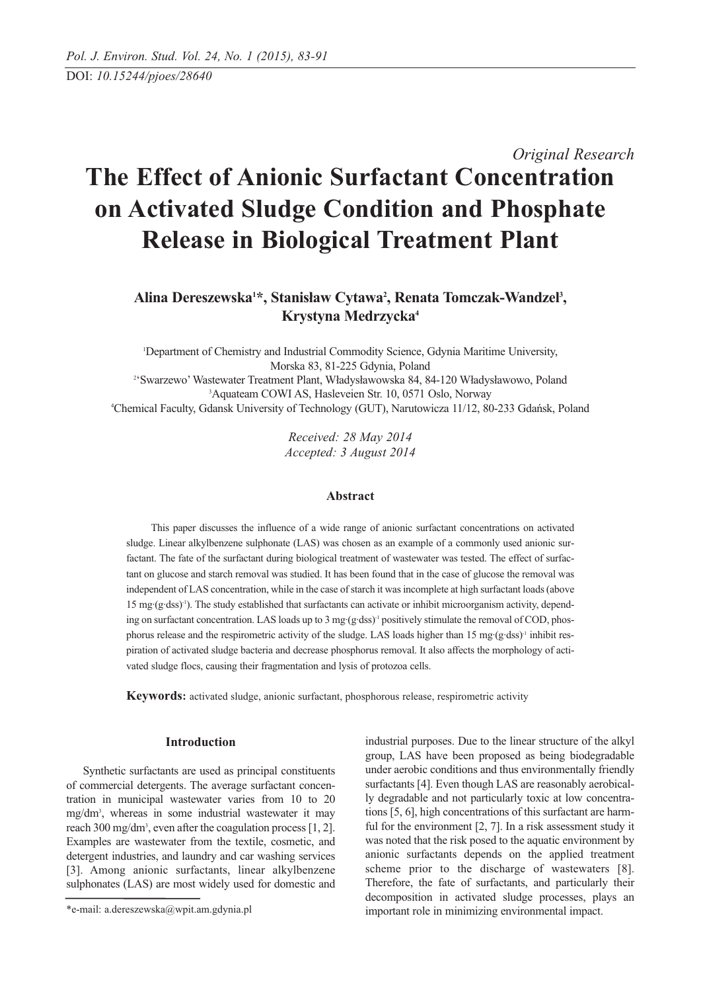# *Original Research* **The Effect of Anionic Surfactant Concentration on Activated Sludge Condition and Phosphate Release in Biological Treatment Plant**

# Alina Dereszewska<sup>1\*</sup>, Stanisław Cytawa<sup>2</sup>, Renata Tomczak-Wandzel<sup>3</sup>, **Krystyna Medrzycka4**

 Department of Chemistry and Industrial Commodity Science, Gdynia Maritime University, Morska 83, 81-225 Gdynia, Poland 2 'Swarzewo' Wastewater Treatment Plant, Władysławowska 84, 84-120 Władysławowo, Poland Aquateam COWI AS, Hasleveien Str. 10, 0571 Oslo, Norway Chemical Faculty, Gdansk University of Technology (GUT), Narutowicza 11/12, 80-233 Gdańsk, Poland

> *Received: 28 May 2014 Accepted: 3 August 2014*

# **Abstract**

This paper discusses the influence of a wide range of anionic surfactant concentrations on activated sludge. Linear alkylbenzene sulphonate (LAS) was chosen as an example of a commonly used anionic surfactant. The fate of the surfactant during biological treatment of wastewater was tested. The effect of surfactant on glucose and starch removal was studied. It has been found that in the case of glucose the removal was independent of LAS concentration, while in the case of starch it was incomplete at high surfactant loads (above 15 mg·(g·dss)-1). The study established that surfactants can activate or inhibit microorganism activity, depending on surfactant concentration. LAS loads up to  $3 \text{ mg} \cdot (\text{g} \cdot \text{dss})$ <sup>1</sup> positively stimulate the removal of COD, phosphorus release and the respirometric activity of the sludge. LAS loads higher than 15 mg·(g·dss)<sup>-1</sup> inhibit respiration of activated sludge bacteria and decrease phosphorus removal. It also affects the morphology of activated sludge flocs, causing their fragmentation and lysis of protozoa cells.

**Keywords:** activated sludge, anionic surfactant, phosphorous release, respirometric activity

# **Introduction**

Synthetic surfactants are used as principal constituents of commercial detergents. The average surfactant concentration in municipal wastewater varies from 10 to 20 mg/dm3 , whereas in some industrial wastewater it may reach 300 mg/dm<sup>3</sup>, even after the coagulation process [1, 2]. Examples are wastewater from the textile, cosmetic, and detergent industries, and laundry and car washing services [3]. Among anionic surfactants, linear alkylbenzene sulphonates (LAS) are most widely used for domestic and industrial purposes. Due to the linear structure of the alkyl group, LAS have been proposed as being biodegradable under aerobic conditions and thus environmentally friendly surfactants [4]. Even though LAS are reasonably aerobically degradable and not particularly toxic at low concentrations [5, 6], high concentrations of this surfactant are harmful for the environment [2, 7]. In a risk assessment study it was noted that the risk posed to the aquatic environment by anionic surfactants depends on the applied treatment scheme prior to the discharge of wastewaters [8]. Therefore, the fate of surfactants, and particularly their decomposition in activated sludge processes, plays an important role in minimizing environmental impact.

<sup>\*</sup>e-mail: a.dereszewska@wpit.am.gdynia.pl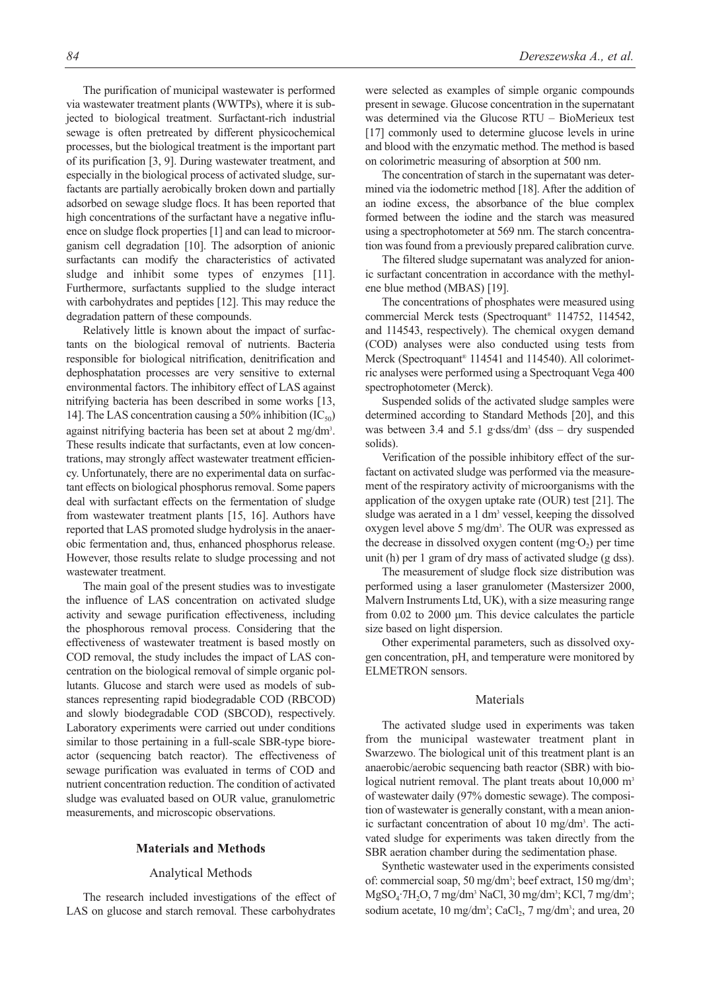The purification of municipal wastewater is performed via wastewater treatment plants (WWTPs), where it is subjected to biological treatment. Surfactant-rich industrial sewage is often pretreated by different physicochemical processes, but the biological treatment is the important part of its purification [3, 9]. During wastewater treatment, and especially in the biological process of activated sludge, surfactants are partially aerobically broken down and partially adsorbed on sewage sludge flocs. It has been reported that high concentrations of the surfactant have a negative influence on sludge flock properties [1] and can lead to microorganism cell degradation [10]. The adsorption of anionic surfactants can modify the characteristics of activated sludge and inhibit some types of enzymes [11]. Furthermore, surfactants supplied to the sludge interact with carbohydrates and peptides [12]. This may reduce the degradation pattern of these compounds.

Relatively little is known about the impact of surfactants on the biological removal of nutrients. Bacteria responsible for biological nitrification, denitrification and dephosphatation processes are very sensitive to external environmental factors. The inhibitory effect of LAS against nitrifying bacteria has been described in some works [13, 14]. The LAS concentration causing a 50% inhibition  $(IC_{50})$ against nitrifying bacteria has been set at about 2 mg/dm<sup>3</sup>. These results indicate that surfactants, even at low concentrations, may strongly affect wastewater treatment efficiency. Unfortunately, there are no experimental data on surfactant effects on biological phosphorus removal. Some papers deal with surfactant effects on the fermentation of sludge from wastewater treatment plants [15, 16]. Authors have reported that LAS promoted sludge hydrolysis in the anaerobic fermentation and, thus, enhanced phosphorus release. However, those results relate to sludge processing and not wastewater treatment.

The main goal of the present studies was to investigate the influence of LAS concentration on activated sludge activity and sewage purification effectiveness, including the phosphorous removal process. Considering that the effectiveness of wastewater treatment is based mostly on COD removal, the study includes the impact of LAS concentration on the biological removal of simple organic pollutants. Glucose and starch were used as models of substances representing rapid biodegradable COD (RBCOD) and slowly biodegradable COD (SBCOD), respectively. Laboratory experiments were carried out under conditions similar to those pertaining in a full-scale SBR-type bioreactor (sequencing batch reactor). The effectiveness of sewage purification was evaluated in terms of COD and nutrient concentration reduction. The condition of activated sludge was evaluated based on OUR value, granulometric measurements, and microscopic observations.

#### **Materials and Methods**

#### Analytical Methods

The research included investigations of the effect of LAS on glucose and starch removal. These carbohydrates

were selected as examples of simple organic compounds present in sewage. Glucose concentration in the supernatant was determined via the Glucose RTU – BioMerieux test [17] commonly used to determine glucose levels in urine and blood with the enzymatic method. The method is based on colorimetric measuring of absorption at 500 nm.

The concentration of starch in the supernatant was determined via the iodometric method [18]. After the addition of an iodine excess, the absorbance of the blue complex formed between the iodine and the starch was measured using a spectrophotometer at 569 nm. The starch concentration was found from a previously prepared calibration curve.

The filtered sludge supernatant was analyzed for anionic surfactant concentration in accordance with the methylene blue method (MBAS) [19].

The concentrations of phosphates were measured using commercial Merck tests (Spectroquant® 114752, 114542, and 114543, respectively). The chemical oxygen demand (COD) analyses were also conducted using tests from Merck (Spectroquant® 114541 and 114540). All colorimetric analyses were performed using a Spectroquant Vega 400 spectrophotometer (Merck).

Suspended solids of the activated sludge samples were determined according to Standard Methods [20], and this was between 3.4 and 5.1 g·dss/dm<sup>3</sup> (dss – dry suspended solids).

Verification of the possible inhibitory effect of the surfactant on activated sludge was performed via the measurement of the respiratory activity of microorganisms with the application of the oxygen uptake rate (OUR) test [21]. The sludge was aerated in a 1 dm<sup>3</sup> vessel, keeping the dissolved oxygen level above 5 mg/dm<sup>3</sup>. The OUR was expressed as the decrease in dissolved oxygen content  $(mg O<sub>2</sub>)$  per time unit (h) per 1 gram of dry mass of activated sludge (g dss).

The measurement of sludge flock size distribution was performed using a laser granulometer (Mastersizer 2000, Malvern Instruments Ltd, UK), with a size measuring range from 0.02 to 2000 μm. This device calculates the particle size based on light dispersion.

Other experimental parameters, such as dissolved oxygen concentration, pH, and temperature were monitored by ELMETRON sensors.

#### Materials

The activated sludge used in experiments was taken from the municipal wastewater treatment plant in Swarzewo. The biological unit of this treatment plant is an anaerobic/aerobic sequencing bath reactor (SBR) with biological nutrient removal. The plant treats about 10,000 m<sup>3</sup> of wastewater daily (97% domestic sewage). The composition of wastewater is generally constant, with a mean anionic surfactant concentration of about 10 mg/dm<sup>3</sup>. The activated sludge for experiments was taken directly from the SBR aeration chamber during the sedimentation phase.

Synthetic wastewater used in the experiments consisted of: commercial soap, 50 mg/dm<sup>3</sup>; beef extract, 150 mg/dm<sup>3</sup>;  $MgSO_4$ ·7H<sub>2</sub>O, 7 mg/dm<sup>3</sup> NaCl, 30 mg/dm<sup>3</sup>; KCl, 7 mg/dm<sup>3</sup>; sodium acetate,  $10 \text{ mg/dm}$ <sup>3</sup>; CaCl<sub>2</sub>,  $7 \text{ mg/dm}$ <sup>3</sup>; and urea,  $20$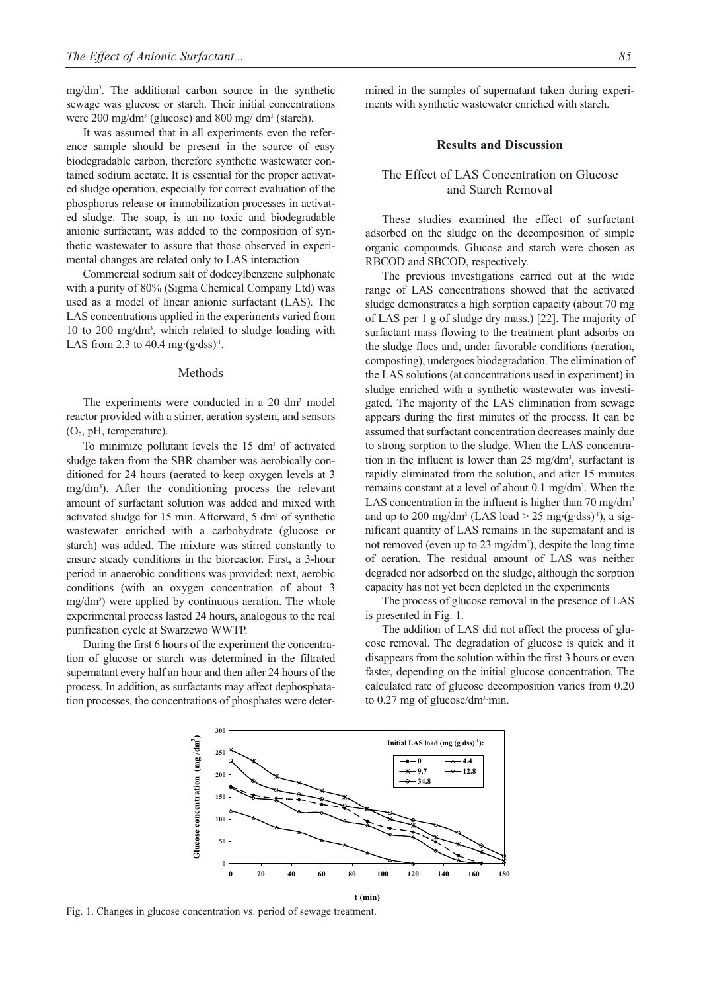mg/dm3 . The additional carbon source in the synthetic sewage was glucose or starch. Their initial concentrations were 200 mg/dm3 (glucose) and 800 mg/ dm3 (starch).

It was assumed that in all experiments even the reference sample should be present in the source of easy biodegradable carbon, therefore synthetic wastewater contained sodium acetate. It is essential for the proper activated sludge operation, especially for correct evaluation of the phosphorus release or immobilization processes in activated sludge. The soap, is an no toxic and biodegradable anionic surfactant, was added to the composition of synthetic wastewater to assure that those observed in experimental changes are related only to LAS interaction

Commercial sodium salt of dodecylbenzene sulphonate with a purity of 80% (Sigma Chemical Company Ltd) was used as a model of linear anionic surfactant (LAS). The LAS concentrations applied in the experiments varied from 10 to 200 mg/dm3 , which related to sludge loading with LAS from 2.3 to 40.4 mg $\cdot$ (g $\cdot$ dss)<sup>-1</sup>.

#### Methods

The experiments were conducted in a 20 dm<sup>3</sup> model reactor provided with a stirrer, aeration system, and sensors  $(O_2, pH, temperature)$ .

To minimize pollutant levels the 15 dm<sup>3</sup> of activated sludge taken from the SBR chamber was aerobically conditioned for 24 hours (aerated to keep oxygen levels at 3 mg/dm3 ). After the conditioning process the relevant amount of surfactant solution was added and mixed with activated sludge for 15 min. Afterward, 5 dm<sup>3</sup> of synthetic wastewater enriched with a carbohydrate (glucose or starch) was added. The mixture was stirred constantly to ensure steady conditions in the bioreactor. First, a 3-hour period in anaerobic conditions was provided; next, aerobic conditions (with an oxygen concentration of about 3 mg/dm<sup>3</sup>) were applied by continuous aeration. The whole experimental process lasted 24 hours, analogous to the real purification cycle at Swarzewo WWTP.

During the first 6 hours of the experiment the concentration of glucose or starch was determined in the filtrated supernatant every half an hour and then after 24 hours of the process. In addition, as surfactants may affect dephosphatation processes, the concentrations of phosphates were determined in the samples of supernatant taken during experiments with synthetic wastewater enriched with starch.

#### **Results and Discussion**

# The Effect of LAS Concentration on Glucose and Starch Removal

These studies examined the effect of surfactant adsorbed on the sludge on the decomposition of simple organic compounds. Glucose and starch were chosen as RBCOD and SBCOD, respectively.

The previous investigations carried out at the wide range of LAS concentrations showed that the activated sludge demonstrates a high sorption capacity (about 70 mg of LAS per 1 g of sludge dry mass.) [22]. The majority of surfactant mass flowing to the treatment plant adsorbs on the sludge flocs and, under favorable conditions (aeration, composting), undergoes biodegradation. The elimination of the LAS solutions (at concentrations used in experiment) in sludge enriched with a synthetic wastewater was investigated. The majority of the LAS elimination from sewage appears during the first minutes of the process. It can be assumed that surfactant concentration decreases mainly due to strong sorption to the sludge. When the LAS concentration in the influent is lower than  $25 \text{ mg/dm}^3$ , surfactant is rapidly eliminated from the solution, and after 15 minutes remains constant at a level of about 0.1 mg/dm<sup>3</sup>. When the LAS concentration in the influent is higher than  $70 \text{ mg/dm}^3$ and up to 200 mg/dm<sup>3</sup> (LAS load  $>$  25 mg·(g·dss)<sup>-1</sup>), a significant quantity of LAS remains in the supernatant and is not removed (even up to 23 mg/dm<sup>3</sup>), despite the long time of aeration. The residual amount of LAS was neither degraded nor adsorbed on the sludge, although the sorption capacity has not yet been depleted in the experiments

The process of glucose removal in the presence of LAS is presented in Fig. 1.

The addition of LAS did not affect the process of glucose removal. The degradation of glucose is quick and it disappears from the solution within the first 3 hours or even faster, depending on the initial glucose concentration. The calculated rate of glucose decomposition varies from 0.20 to 0.27 mg of glucose/dm<sup>3</sup>·min.



Fig. 1. Changes in glucose concentration vs. period of sewage treatment.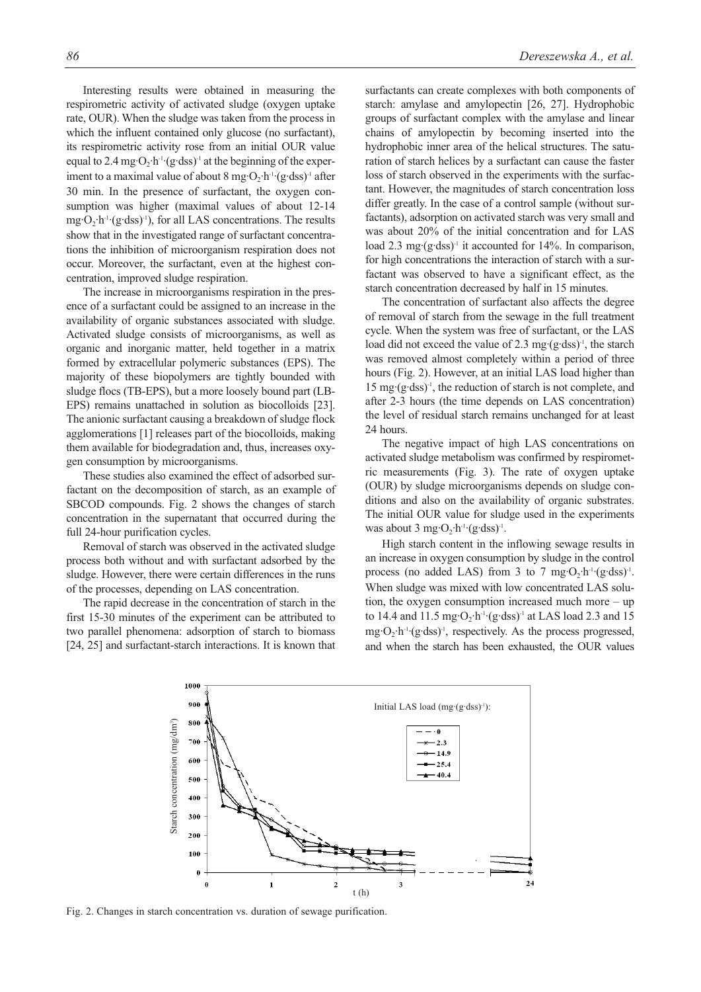Interesting results were obtained in measuring the respirometric activity of activated sludge (oxygen uptake rate, OUR). When the sludge was taken from the process in which the influent contained only glucose (no surfactant), its respirometric activity rose from an initial OUR value equal to 2.4 mg·O<sub>2</sub>·h<sup>-1</sup>·(g·dss)<sup>-1</sup> at the beginning of the experiment to a maximal value of about  $8 \text{ mg} \cdot \text{O}_2 \cdot \text{h}^{-1} \cdot (\text{g} \cdot \text{dss})^{-1}$  after 30 min. In the presence of surfactant, the oxygen consumption was higher (maximal values of about 12-14  $mg \cdot O_2 \cdot h^{-1} (g \cdot dss)^{-1}$ , for all LAS concentrations. The results show that in the investigated range of surfactant concentrations the inhibition of microorganism respiration does not occur. Moreover, the surfactant, even at the highest concentration, improved sludge respiration.

The increase in microorganisms respiration in the presence of a surfactant could be assigned to an increase in the availability of organic substances associated with sludge. Activated sludge consists of microorganisms, as well as organic and inorganic matter, held together in a matrix formed by extracellular polymeric substances (EPS). The majority of these biopolymers are tightly bounded with sludge flocs (TB-EPS), but a more loosely bound part (LB-EPS) remains unattached in solution as biocolloids [23]. The anionic surfactant causing a breakdown of sludge flock agglomerations [1] releases part of the biocolloids, making them available for biodegradation and, thus, increases oxygen consumption by microorganisms.

These studies also examined the effect of adsorbed surfactant on the decomposition of starch, as an example of SBCOD compounds. Fig. 2 shows the changes of starch concentration in the supernatant that occurred during the full 24-hour purification cycles.

Removal of starch was observed in the activated sludge process both without and with surfactant adsorbed by the sludge. However, there were certain differences in the runs of the processes, depending on LAS concentration.

The rapid decrease in the concentration of starch in the first 15-30 minutes of the experiment can be attributed to two parallel phenomena: adsorption of starch to biomass [24, 25] and surfactant-starch interactions. It is known that surfactants can create complexes with both components of starch: amylase and amylopectin [26, 27]. Hydrophobic groups of surfactant complex with the amylase and linear chains of amylopectin by becoming inserted into the hydrophobic inner area of the helical structures. The saturation of starch helices by a surfactant can cause the faster loss of starch observed in the experiments with the surfactant. However, the magnitudes of starch concentration loss differ greatly. In the case of a control sample (without surfactants), adsorption on activated starch was very small and was about 20% of the initial concentration and for LAS load 2.3 mg·(g·dss)<sup>-1</sup> it accounted for 14%. In comparison, for high concentrations the interaction of starch with a surfactant was observed to have a significant effect, as the starch concentration decreased by half in 15 minutes.

The concentration of surfactant also affects the degree of removal of starch from the sewage in the full treatment cycle. When the system was free of surfactant, or the LAS load did not exceed the value of 2.3 mg·(g·dss)<sup>-1</sup>, the starch was removed almost completely within a period of three hours (Fig. 2). However, at an initial LAS load higher than 15 mg·(g·dss)-1, the reduction of starch is not complete, and after 2-3 hours (the time depends on LAS concentration) the level of residual starch remains unchanged for at least 24 hours.

The negative impact of high LAS concentrations on activated sludge metabolism was confirmed by respirometric measurements (Fig. 3). The rate of oxygen uptake (OUR) by sludge microorganisms depends on sludge conditions and also on the availability of organic substrates. The initial OUR value for sludge used in the experiments was about 3 mg·O<sub>2</sub>·h<sup>-1</sup>·(g·dss)<sup>-1</sup>.

High starch content in the inflowing sewage results in an increase in oxygen consumption by sludge in the control process (no added LAS) from 3 to 7 mg $\cdot O_2 \cdot h^{-1} \cdot (g \cdot ds)$ <sup>1</sup>. When sludge was mixed with low concentrated LAS solution, the oxygen consumption increased much more – up to 14.4 and 11.5 mg $\cdot$ O<sub>2</sub>·h<sup>-1</sup>·(g·dss)<sup>-1</sup> at LAS load 2.3 and 15  $mg \cdot O_2 \cdot h^{-1} (g \cdot ds)$ <sup>-1</sup>, respectively. As the process progressed, and when the starch has been exhausted, the OUR values

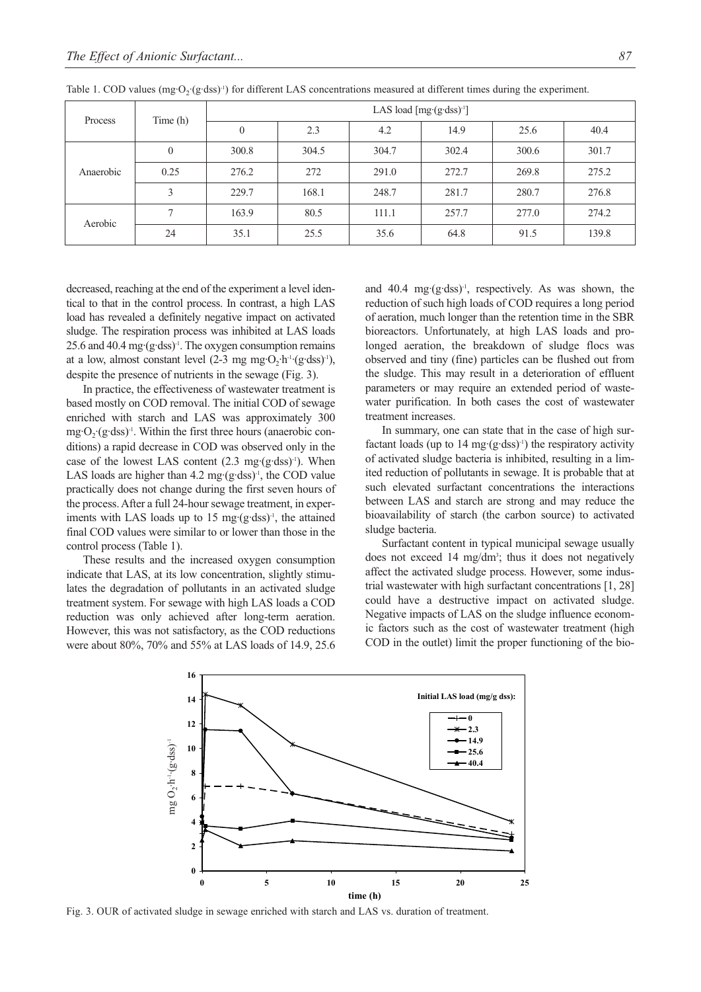| Process   | Time(h)  | LAS load $[mg (g dss)^{-1}]$ |       |       |       |       |       |
|-----------|----------|------------------------------|-------|-------|-------|-------|-------|
|           |          | $\theta$                     | 2.3   | 4.2   | 14.9  | 25.6  | 40.4  |
| Anaerobic | $\theta$ | 300.8                        | 304.5 | 304.7 | 302.4 | 300.6 | 301.7 |
|           | 0.25     | 276.2                        | 272   | 291.0 | 272.7 | 269.8 | 275.2 |
|           | 3        | 229.7                        | 168.1 | 248.7 | 281.7 | 280.7 | 276.8 |
| Aerobic   |          | 163.9                        | 80.5  | 111.1 | 257.7 | 277.0 | 274.2 |
|           | 24       | 35.1                         | 25.5  | 35.6  | 64.8  | 91.5  | 139.8 |

Table 1. COD values (mg·O<sub>2</sub>·(g·dss)<sup>-1</sup>) for different LAS concentrations measured at different times during the experiment.

decreased, reaching at the end of the experiment a level identical to that in the control process. In contrast, a high LAS load has revealed a definitely negative impact on activated sludge. The respiration process was inhibited at LAS loads 25.6 and 40.4 mg· $(g\cdot dss)^{-1}$ . The oxygen consumption remains at a low, almost constant level  $(2-3$  mg mg·O<sub>2</sub>·h<sup>-1</sup>·(g·dss)<sup>-1</sup>), despite the presence of nutrients in the sewage (Fig. 3).

In practice, the effectiveness of wastewater treatment is based mostly on COD removal. The initial COD of sewage enriched with starch and LAS was approximately 300  $mg \cdot O_2$ ·(g·dss)<sup>-1</sup>. Within the first three hours (anaerobic conditions) a rapid decrease in COD was observed only in the case of the lowest LAS content  $(2.3 \text{ mg} \cdot (\text{g} \cdot \text{dss})^{-1})$ . When LAS loads are higher than  $4.2 \text{ mg} \cdot (\text{g} \cdot \text{dss})^{-1}$ , the COD value practically does not change during the first seven hours of the process. After a full 24-hour sewage treatment, in experiments with LAS loads up to 15 mg $(g$ ·dss)<sup>-1</sup>, the attained final COD values were similar to or lower than those in the control process (Table 1).

These results and the increased oxygen consumption indicate that LAS, at its low concentration, slightly stimulates the degradation of pollutants in an activated sludge treatment system. For sewage with high LAS loads a COD reduction was only achieved after long-term aeration. However, this was not satisfactory, as the COD reductions were about 80%, 70% and 55% at LAS loads of 14.9, 25.6 and 40.4 mg·(g·dss)<sup>-1</sup>, respectively. As was shown, the reduction of such high loads of COD requires a long period of aeration, much longer than the retention time in the SBR bioreactors. Unfortunately, at high LAS loads and prolonged aeration, the breakdown of sludge flocs was observed and tiny (fine) particles can be flushed out from the sludge. This may result in a deterioration of effluent parameters or may require an extended period of wastewater purification. In both cases the cost of wastewater treatment increases.

In summary, one can state that in the case of high surfactant loads (up to  $14 \text{ mg} \cdot (\text{g-dss})$ <sup>1</sup>) the respiratory activity of activated sludge bacteria is inhibited, resulting in a limited reduction of pollutants in sewage. It is probable that at such elevated surfactant concentrations the interactions between LAS and starch are strong and may reduce the bioavailability of starch (the carbon source) to activated sludge bacteria.

Surfactant content in typical municipal sewage usually does not exceed 14 mg/dm<sup>3</sup>; thus it does not negatively affect the activated sludge process. However, some industrial wastewater with high surfactant concentrations [1, 28] could have a destructive impact on activated sludge. Negative impacts of LAS on the sludge influence economic factors such as the cost of wastewater treatment (high COD in the outlet) limit the proper functioning of the bio-



Fig. 3. OUR of activated sludge in sewage enriched with starch and LAS vs. duration of treatment.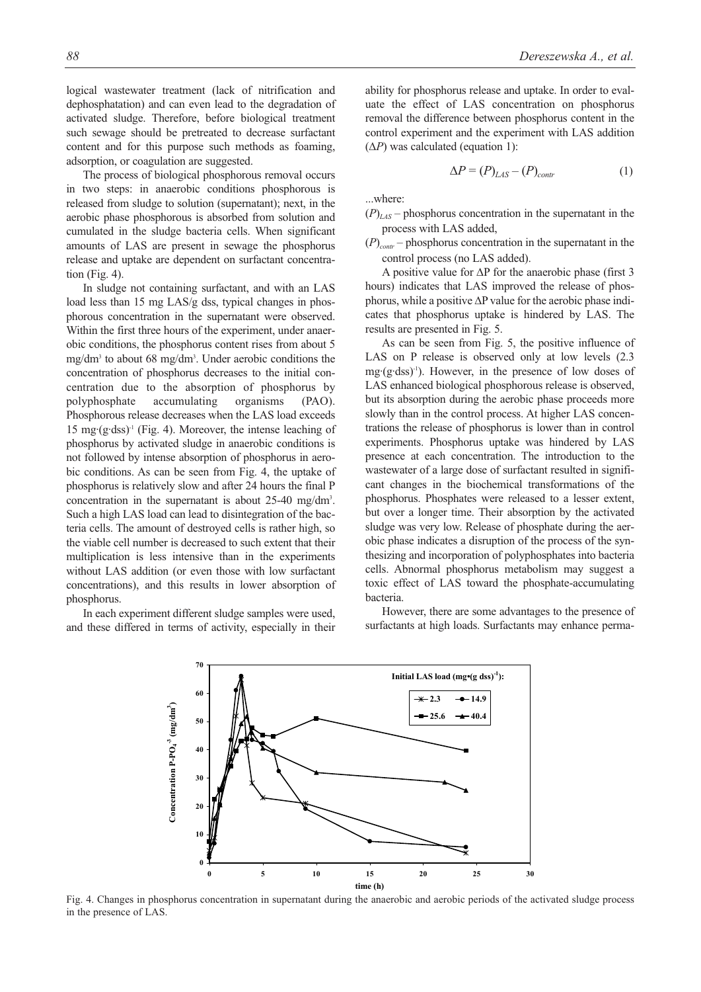logical wastewater treatment (lack of nitrification and dephosphatation) and can even lead to the degradation of activated sludge. Therefore, before biological treatment such sewage should be pretreated to decrease surfactant content and for this purpose such methods as foaming, adsorption, or coagulation are suggested.

The process of biological phosphorous removal occurs in two steps: in anaerobic conditions phosphorous is released from sludge to solution (supernatant); next, in the aerobic phase phosphorous is absorbed from solution and cumulated in the sludge bacteria cells. When significant amounts of LAS are present in sewage the phosphorus release and uptake are dependent on surfactant concentration (Fig. 4).

In sludge not containing surfactant, and with an LAS load less than 15 mg LAS/g dss, typical changes in phosphorous concentration in the supernatant were observed. Within the first three hours of the experiment, under anaerobic conditions, the phosphorus content rises from about 5 mg/dm3 to about 68 mg/dm3 . Under aerobic conditions the concentration of phosphorus decreases to the initial concentration due to the absorption of phosphorus by polyphosphate accumulating organisms (PAO). Phosphorous release decreases when the LAS load exceeds 15 mg· $(g$ ·dss $)^-$  (Fig. 4). Moreover, the intense leaching of phosphorus by activated sludge in anaerobic conditions is not followed by intense absorption of phosphorus in aerobic conditions. As can be seen from Fig. 4, the uptake of phosphorus is relatively slow and after 24 hours the final P concentration in the supernatant is about 25-40 mg/dm3 . Such a high LAS load can lead to disintegration of the bacteria cells. The amount of destroyed cells is rather high, so the viable cell number is decreased to such extent that their multiplication is less intensive than in the experiments without LAS addition (or even those with low surfactant concentrations), and this results in lower absorption of phosphorus.

In each experiment different sludge samples were used, and these differed in terms of activity, especially in their ability for phosphorus release and uptake. In order to evaluate the effect of LAS concentration on phosphorus removal the difference between phosphorus content in the control experiment and the experiment with LAS addition (Δ*P*) was calculated (equation 1):

$$
\Delta P = (P)_{LAS} - (P)_{contr}
$$
 (1)

...where:

 $(P)$ <sub>LAS</sub> – phosphorus concentration in the supernatant in the process with LAS added,

 $(P)_{contr}$  – phosphorus concentration in the supernatant in the control process (no LAS added).

A positive value for  $\Delta P$  for the anaerobic phase (first 3 hours) indicates that LAS improved the release of phosphorus, while a positive  $\Delta P$  value for the aerobic phase indicates that phosphorus uptake is hindered by LAS. The results are presented in Fig. 5.

As can be seen from Fig. 5, the positive influence of LAS on P release is observed only at low levels (2.3  $mg(g \cdot dss)^{-1}$ . However, in the presence of low doses of LAS enhanced biological phosphorous release is observed, but its absorption during the aerobic phase proceeds more slowly than in the control process. At higher LAS concentrations the release of phosphorus is lower than in control experiments. Phosphorus uptake was hindered by LAS presence at each concentration. The introduction to the wastewater of a large dose of surfactant resulted in significant changes in the biochemical transformations of the phosphorus. Phosphates were released to a lesser extent, but over a longer time. Their absorption by the activated sludge was very low. Release of phosphate during the aerobic phase indicates a disruption of the process of the synthesizing and incorporation of polyphosphates into bacteria cells. Abnormal phosphorus metabolism may suggest a toxic effect of LAS toward the phosphate-accumulating bacteria.

However, there are some advantages to the presence of surfactants at high loads. Surfactants may enhance perma-



Fig. 4. Changes in phosphorus concentration in supernatant during the anaerobic and aerobic periods of the activated sludge process in the presence of LAS.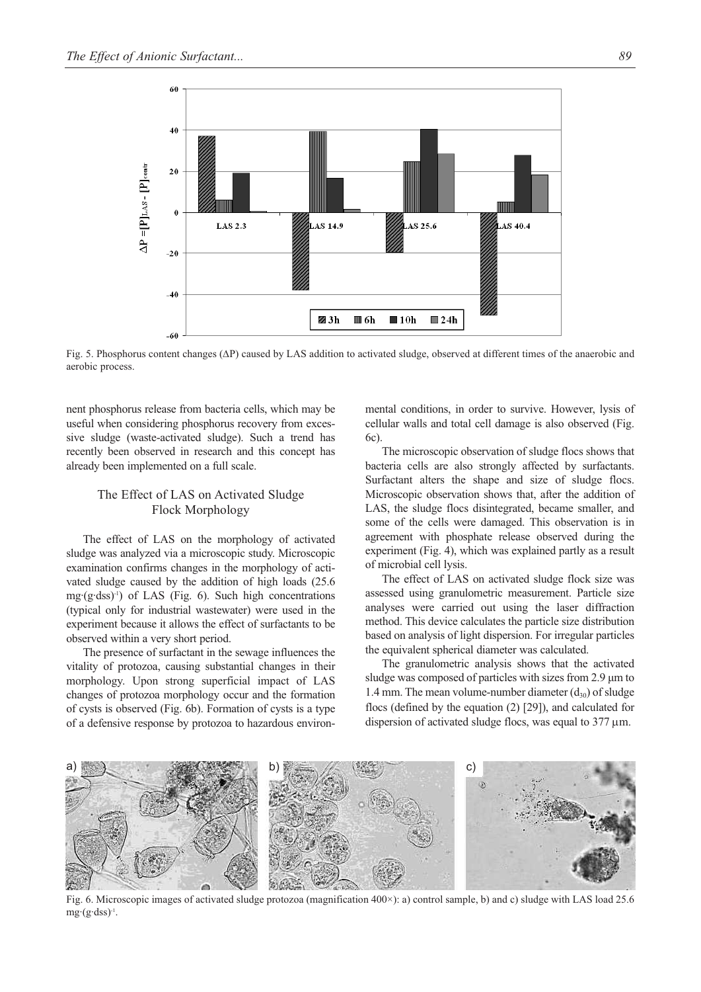

Fig. 5. Phosphorus content changes (ΔP) caused by LAS addition to activated sludge, observed at different times of the anaerobic and aerobic process.

nent phosphorus release from bacteria cells, which may be useful when considering phosphorus recovery from excessive sludge (waste-activated sludge). Such a trend has recently been observed in research and this concept has already been implemented on a full scale.

# The Effect of LAS on Activated Sludge Flock Morphology

The effect of LAS on the morphology of activated sludge was analyzed via a microscopic study. Microscopic examination confirms changes in the morphology of activated sludge caused by the addition of high loads (25.6 mg·(g·dss)-1) of LAS (Fig. 6). Such high concentrations (typical only for industrial wastewater) were used in the experiment because it allows the effect of surfactants to be observed within a very short period.

The presence of surfactant in the sewage influences the vitality of protozoa, causing substantial changes in their morphology. Upon strong superficial impact of LAS changes of protozoa morphology occur and the formation of cysts is observed (Fig. 6b). Formation of cysts is a type of a defensive response by protozoa to hazardous environmental conditions, in order to survive. However, lysis of cellular walls and total cell damage is also observed (Fig. 6c).

The microscopic observation of sludge flocs shows that bacteria cells are also strongly affected by surfactants. Surfactant alters the shape and size of sludge flocs. Microscopic observation shows that, after the addition of LAS, the sludge flocs disintegrated, became smaller, and some of the cells were damaged. This observation is in agreement with phosphate release observed during the experiment (Fig. 4), which was explained partly as a result of microbial cell lysis.

The effect of LAS on activated sludge flock size was assessed using granulometric measurement. Particle size analyses were carried out using the laser diffraction method. This device calculates the particle size distribution based on analysis of light dispersion. For irregular particles the equivalent spherical diameter was calculated.

The granulometric analysis shows that the activated sludge was composed of particles with sizes from 2.9 μm to 1.4 mm. The mean volume-number diameter  $(d_{30})$  of sludge flocs (defined by the equation (2) [29]), and calculated for dispersion of activated sludge flocs, was equal to 377 μm.



Fig. 6. Microscopic images of activated sludge protozoa (magnification 400×): a) control sample, b) and c) sludge with LAS load 25.6  $mg \cdot (g \cdot ds)$ <sup>-1</sup>.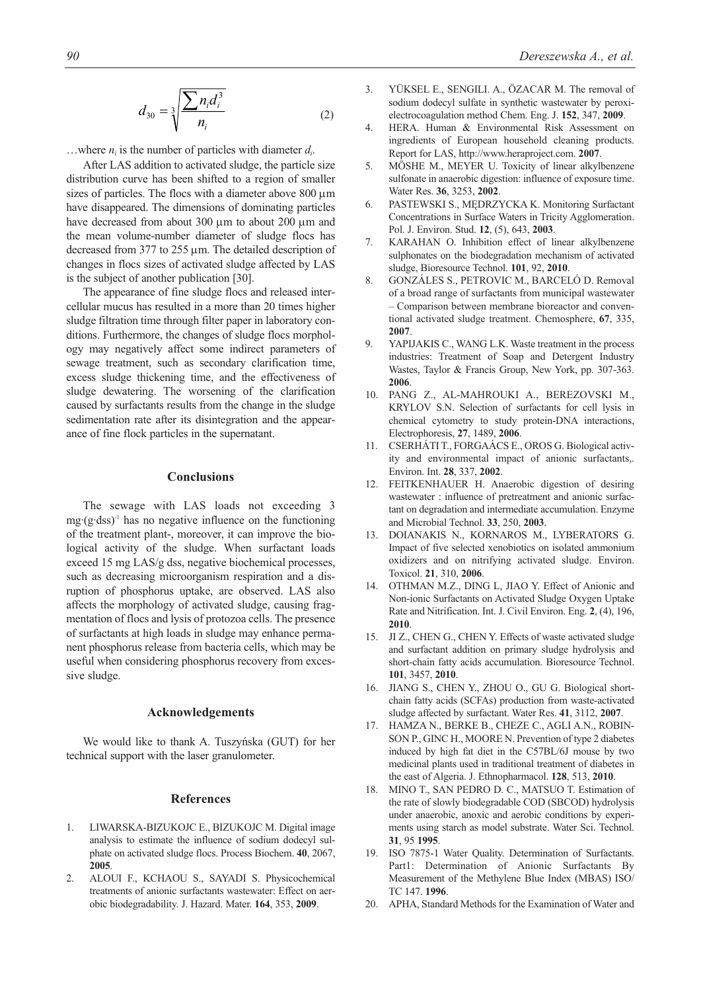$$
d_{30} = \sqrt[3]{\frac{\sum n_i d_i^3}{n_i}} \tag{2}
$$

...where  $n_i$  is the number of particles with diameter  $d_i$ .

After LAS addition to activated sludge, the particle size distribution curve has been shifted to a region of smaller sizes of particles. The flocs with a diameter above 800 μm have disappeared. The dimensions of dominating particles have decreased from about 300 μm to about 200 μm and the mean volume-number diameter of sludge flocs has decreased from 377 to 255 μm. The detailed description of changes in flocs sizes of activated sludge affected by LAS is the subject of another publication [30].

The appearance of fine sludge flocs and released intercellular mucus has resulted in a more than 20 times higher sludge filtration time through filter paper in laboratory conditions. Furthermore, the changes of sludge flocs morphology may negatively affect some indirect parameters of sewage treatment, such as secondary clarification time, excess sludge thickening time, and the effectiveness of sludge dewatering. The worsening of the clarification caused by surfactants results from the change in the sludge sedimentation rate after its disintegration and the appearance of fine flock particles in the supernatant.

### **Conclusions**

The sewage with LAS loads not exceeding 3  $mg (g \cdot ds)$ <sup>1</sup> has no negative influence on the functioning of the treatment plant-, moreover, it can improve the biological activity of the sludge. When surfactant loads exceed 15 mg LAS/g dss, negative biochemical processes, such as decreasing microorganism respiration and a disruption of phosphorus uptake, are observed. LAS also affects the morphology of activated sludge, causing fragmentation of flocs and lysis of protozoa cells. The presence of surfactants at high loads in sludge may enhance permanent phosphorus release from bacteria cells, which may be useful when considering phosphorus recovery from excessive sludge.

#### **Acknowledgements**

We would like to thank A. Tuszyńska (GUT) for her technical support with the laser granulometer.

#### **References**

- 1. LIWARSKA-BIZUKOJC E., BIZUKOJC M. Digital image analysis to estimate the influence of sodium dodecyl sulphate on activated sludge flocs. Process Biochem. **40**, 2067, **2005**.
- 2. ALOUI F., KCHAOU S., SAYADI S. Physicochemical treatments of anionic surfactants wastewater: Effect on aerobic biodegradability. J. Hazard. Mater. **164**, 353, **2009**.
- 3. YÜKSEL E., SENGILI. A., ÖZACAR M. The removal of sodium dodecyl sulfate in synthetic wastewater by peroxielectrocoagulation method Chem. Eng. J. **152**, 347, **2009**.
- 4. HERA. Human & Environmental Risk Assessment on ingredients of European household cleaning products. Report for LAS, http://www.heraproject.com. **2007**.
- 5. MÖSHE M., MEYER U. Toxicity of linear alkylbenzene sulfonate in anaerobic digestion: influence of exposure time. Water Res. **36**, 3253, **2002**.
- 6. PASTEWSKI S., MĘDRZYCKA K. Monitoring Surfactant Concentrations in Surface Waters in Tricity Agglomeration. Pol. J. Environ. Stud. **12**, (5), 643, **2003**.
- 7. KARAHAN O. Inhibition effect of linear alkylbenzene sulphonates on the biodegradation mechanism of activated sludge, Bioresource Technol. **101**, 92, **2010**.
- 8. GONZÁLES S., PETROVIC M., BARCELÓ D. Removal of a broad range of surfactants from municipal wastewater – Comparison between membrane bioreactor and conventional activated sludge treatment. Chemosphere, **67**, 335, **2007**.
- 9. YAPIJAKIS C., WANG L.K. Waste treatment in the process industries: Treatment of Soap and Detergent Industry Wastes, Taylor & Francis Group, New York, pp. 307-363. **2006**.
- 10. PANG Z., AL-MAHROUKI A., BEREZOVSKI M., KRYLOV S.N. Selection of surfactants for cell lysis in chemical cytometry to study protein-DNA interactions, Electrophoresis, **27**, 1489, **2006**.
- 11. CSERHÁTI T., FORGAÁCS E., OROS G. Biological activity and environmental impact of anionic surfactants,. Environ. Int. **28**, 337, **2002**.
- 12. FEITKENHAUER H. Anaerobic digestion of desiring wastewater : influence of pretreatment and anionic surfactant on degradation and intermediate accumulation. Enzyme and Microbial Technol. **33**, 250, **2003**.
- 13. DOIANAKIS N., KORNAROS M., LYBERATORS G. Impact of five selected xenobiotics on isolated ammonium oxidizers and on nitrifying activated sludge. Environ. Toxicol. **21**, 310, **2006**.
- 14. OTHMAN M.Z., DING L, JIAO Y. Effect of Anionic and Non-ionic Surfactants on Activated Sludge Oxygen Uptake Rate and Nitrification. Int. J. Civil Environ. Eng. **2**, (4), 196, **2010**.
- 15. JI Z., CHEN G., CHEN Y. Effects of waste activated sludge and surfactant addition on primary sludge hydrolysis and short-chain fatty acids accumulation. Bioresource Technol. **101**, 3457, **2010**.
- 16. JIANG S., CHEN Y., ZHOU O., GU G. Biological shortchain fatty acids (SCFAs) production from waste-activated sludge affected by surfactant. Water Res. **41**, 3112, **2007**.
- 17. HAMZA N., BERKE B., CHEZE C., AGLI A.N., ROBIN-SON P., GINC H., MOORE N. Prevention of type 2 diabetes induced by high fat diet in the C57BL/6J mouse by two medicinal plants used in traditional treatment of diabetes in the east of Algeria. J. Ethnopharmacol. **128**, 513, **2010**.
- 18. MINO T., SAN PEDRO D. C., MATSUO T. Estimation of the rate of slowly biodegradable COD (SBCOD) hydrolysis under anaerobic, anoxic and aerobic conditions by experiments using starch as model substrate. Water Sci. Technol. **31**, 95 **1995**.
- 19. ISO 7875-1 Water Quality. Determination of Surfactants. Part1: Determination of Anionic Surfactants By Measurement of the Methylene Blue Index (MBAS) ISO/ TC 147. **1996**.
- 20. APHA, Standard Methods for the Examination of Water and